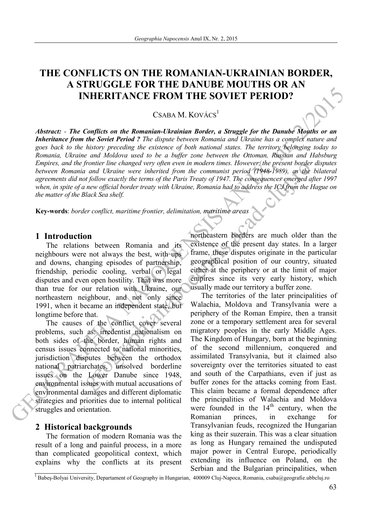# **THE CONFLICTS ON THE ROMANIAN-UKRAINIAN BORDER, A STRUGGLE FOR THE DANUBE MOUTHS OR AN INHERITANCE FROM THE SOVIET PERIOD?**

CSABA M. KOVÁCS $1$ 

**EXERCIT ANCE FROM THE SOVIET PERIOD?**<br>CSABA M. KOVACS<sup>1</sup><br>CSABA M. KOVACS<sup>1</sup><br>CSABA M. KOVACS<sup>1</sup><br>*Interaction of the Romanian Ukrainian Bender, a Straggle for the Boundary Monday or an<br><i>Romania, i. Symon and Woodcon ords t Abstract: - The Conflicts on the Romanian-Ukrainian Border, a Struggle for the Danube Mouths or an Inheritance from the Soviet Period ? The dispute between Romania and Ukraine has a complex nature and goes back to the history preceding the existence of both national states. The territory belonging today to Romania, Ukraine and Moldova used to be a buffer zone between the Ottoman, Russian and Habsburg Empires, and the frontier line changed very often even in modern times. However, the present border disputes between Romania and Ukraine were inherited from the communist period (1948-1989), as the bilateral agreements did not follow exactly the terms of the Paris Treaty of 1947. The consequences emerged after 1997 when, in spite of a new official border treaty with Ukraine, Romania had to address the ICJ from the Hague on the matter of the Black Sea shelf.* 

**Key-words**: *border conflict, maritime frontier, delimitation, maritime areas*

### **1 Introduction**

The relations between Romania and its neighbours were not always the best, with ups and downs, changing episodes of partnership, friendship, periodic cooling, verbal or legal disputes and even open hostility. That was more than true for our relation with Ukraine, our northeastern neighbour, and not only since 1991, when it became an independent state, but longtime before that.

The causes of the conflict cover several problems, such as: irredentist nationalism on both sides of the border, human rights and census issues connected to national minorities, jurisdiction disputes between the orthodox national patriarchates, unsolved borderline issues on the Lower Danube since 1948, environmental issues with mutual accusations of environmental damages and different diplomatic strategies and priorities due to internal political struggles and orientation.

#### **2 Historical backgrounds**

The formation of modern Romania was the result of a long and painful process, in a more than complicated geopolitical context, which explains why the conflicts at its present northeastern borders are much older than the existence of the present day states. In a larger frame, these disputes originate in the particular geographical position of our country, situated either at the periphery or at the limit of major empires since its very early history, which usually made our territory a buffer zone.

From the conarge very open even in modern times. However, the present bonder and Ukraine were interinted from the communist period (1948-1989), as the it follow exactly the terms of the Paris Treaty of 1947. The consequenc The territories of the later principalities of Walachia, Moldova and Transylvania were a periphery of the Roman Empire, then a transit zone or a temporary settlement area for several migratory peoples in the early Middle Ages. The Kingdom of Hungary, born at the beginning of the second millennium, conquered and assimilated Transylvania, but it claimed also sovereignty over the territories situated to east and south of the Carpathians, even if just as buffer zones for the attacks coming from East. This claim became a formal dependence after the principalities of Walachia and Moldova were founded in the  $14<sup>th</sup>$  century, when the Romanian princes, in exchange Transylvanian feuds, recognized the Hungarian king as their suzerain. This was a clear situation as long as Hungary remained the undisputed major power in Central Europe, periodically extending its influence on Poland, on the Serbian and the Bulgarian principalities, when

 $\overline{1}_{\text{Babes-Bolyai University}}$ , Departament of Geography in Hungarian, 400009 Cluj-Napoca, Romania, csaba@geografie.ubbcluj.ro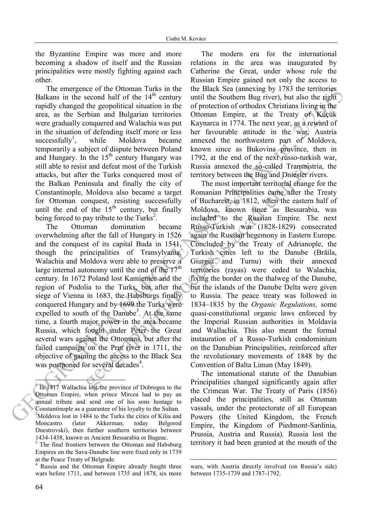the Byzantine Empire was more and more becoming a shadow of itself and the Russian principalities were mostly fighting against each other.

The emergence of the Ottoman Turks in the Balkans in the second half of the  $14<sup>th</sup>$  century rapidly changed the geopolitical situation in the area, as the Serbian and Bulgarian territories were gradually conquered and Walachia was put in the situation of defending itself more or less successfully<sup>1</sup>, while Moldova became temporarily a subject of dispute between Poland and Hungary. In the 15<sup>th</sup> century Hungary was still able to resist and defeat most of the Turkish attacks, but after the Turks conquered most of the Balkan Peninsula and finally the city of Constantinople, Moldova also became a target for Ottoman conquest, resisting successfully until the end of the  $15<sup>th</sup>$  century, but finally being forced to pay tribute to the Turks<sup>2</sup>.

The Ottoman domination became overwhelming after the fall of Hungary in 1526 and the conquest of its capital Buda in 1541, though the principalities of Transylvania, Walachia and Moldova were able to preserve a large internal autonomy until the end of the  $17<sup>th</sup>$ century. In 1672 Poland lost Kamieniec and the region of Podolia to the Turks, but after the siege of Vienna in 1683, the Habsburgs finally conquered Hungary and by 1699 the Turks were expelled to south of the Danube<sup>3</sup>. At the same time, a fourth major power in the area became Russia, which fought under Peter the Great several wars against the Ottomans, but after the failed campaign on the Prut river in 1711, the objective of gaining the access to the Black Sea was postponed for several decades<sup>4</sup>.

The modern era for the international relations in the area was inaugurated by Catherine the Great, under whose rule the Russian Empire gained not only the access to the Black Sea (annexing by 1783 the territories until the Southern Bug river), but also the right of protection of orthodox Christians living in the Ottoman Empire, at the Treaty of Küçük Kaynarca in 1774. The next year, as a reward of her favourable attitude in the war, Austria annexed the northwestern part of Moldova, known since as Bukovina province, then in 1792, at the end of the next russo-turkish war, Russia annexed the so-called Transnistria, the territory between the Bug and Dniester rivers.

The mentione of the User-<br>In the second half of the 140-wentro units the Soultern Bag inverse), but the terminor<br>mediator in the Soultern Half of the Soultern Half orientation in the Source of products. Christian living t t and defeat most of the Turkish Russia annexed the so-called Transmist<br>
r the Turkis conquered most of territory between the Bug and Dniesler riving<br>
insula and finally the city of The most important territorial change<br> The most important territorial change for the Romanian Principalities came after the Treaty of Bucharest, in 1812, when the eastern half of Moldova, known since as Bessarabia, was included to the Russian Empire. The next Russo-Turkish war (1828-1829) consecrated again the Russian hegemony in Eastern Europe. Concluded by the Treaty of Adrianople, the Turkish cities left to the Danube (Brăila, Giurgiu and Turnu) with their annexed territories (rayas) were ceded to Walachia, fixing the border on the thalweg of the Danube, but the islands of the Danube Delta were given to Russia. The peace treaty was followed in 1834–1835 by the *Organic Regulations,* some quasi-constitutional organic laws enforced by the Imperial Russian authorities in Moldavia and Wallachia. This also meant the formal instauration of a Russo-Turkish condominium on the Danubian Principalities, reinforced after the revolutionary movements of 1848 by the Convention of Balta Liman (May 1849).

The international statute of the Danubian Principalities changed significantly again after the Crimean War. The Treaty of Paris (1856) placed the principalities, still as Ottoman vassals, under the protectorate of all European Powers (the United Kingdom, the French Empire, the Kingdom of Piedmont-Sardinia, Prussia, Austria and Russia). Russia lost the territory it had been granted at the mouth of the

-

 $\overline{a}$ 1 In 1417 Wallachia lost the province of Dobrogea to the Ottoman Empire, when prince Mircea had to pay an annual tribute and send one of his sons hostage to Constantinople as a guarantee of his loyalty to the Sultan. <sup>2</sup>Moldova lost in 1484 to the Turks the cities of Kilia and Moncastro (later Akkerman, today Belgorod Dnestrovski), then further southern territories between 1434-1438, known as Ancient Bessarabia or Bugeac.

<sup>&</sup>lt;sup>3</sup> The final frontiers between the Ottoman and Habsburg Empires on the Sava-Danube line were fixed only in 1739 at the Peace Treaty of Belgrade.

<sup>4</sup> Russia and the Ottoman Empire already fought three wars before 1711, and between 1735 and 1878, six more

wars, with Austria directly involved (on Russia's side) between 1735-1739 and 1787-1792.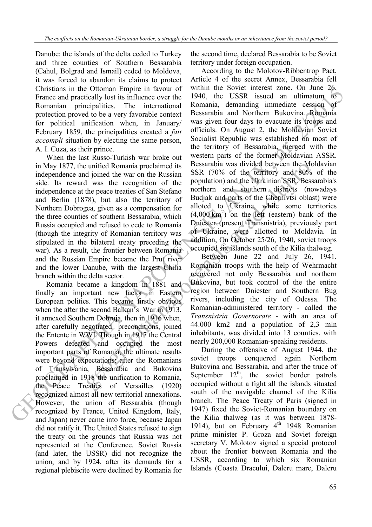Danube: the islands of the delta ceded to Turkey and three counties of Southern Bessarabia (Cahul, Bolgrad and Ismail) ceded to Moldova, it was forced to abandon its claims to protect Christians in the Ottoman Empire in favour of France and practically lost its influence over the Romanian principalities. The international protection proved to be a very favorable context for political unification when, in January/ February 1859, the principalities created a *fait accompli* situation by electing the same person, A. I. Cuza, as their prince.

unified Romania proclaimed its<br>
BSSR 70% of the territory and 80%<br>
d joined the war on the Russian SSR 70% of the territory and 80%<br>
d yas the recognition of the population) and the Ukrainian SSR Bess<br>
the peace treaties When the last Russo-Turkish war broke out in May 1877, the unified Romania proclaimed its independence and joined the war on the Russian side. Its reward was the recognition of the independence at the peace treaties of San Stefano and Berlin (1878), but also the territory of Northern Dobrogea, given as a compensation for the three counties of southern Bessarabia, which Russia occupied and refused to cede to Romania (though the integrity of Romanian territory was stipulated in the bilateral treaty preceding the war). As a result, the frontier between Romania and the Russian Empire became the Prut river and the lower Danube, with the largest Chilia branch within the delta sector.

Romania became a kingdom in 1881 and finally an important new factor in Eastern European politics. This became firstly obvious when the after the second Balkan's War in 1913, it annexed Southern Dobruja, then in 1916 when, after carefully negotiated preconditions, joined the Entente in WWI. Though in 1917 the Central Powers defeated and occupied the most important parts of Romania, the ultimate results were beyond expectations: after the Romanians of Transylvania, Bessarabia and Bukovina proclaimed in 1918 the unification to Romania, the Peace Treaties of Versailles (1920) recognized almost all new territorial annexations. However, the union of Bessarabia (though recognized by France, United Kingdom, Italy, and Japan) never came into force, because Japan did not ratify it. The United States refused to sign the treaty on the grounds that Russia was not represented at the Conference. Soviet Russia (and later, the USSR) did not recognize the union, and by 1924, after its demands for a regional plebiscite were declined by Romania for

the second time, declared Bessarabia to be Soviet territory under foreign occupation.

Christians in the Olderain temperature in the solicity of the system and the system of the system procedure of the meaning investigate. The meaning in the system procedure of the meaning investigate in the system of the m According to the Molotov-Ribbentrop Pact, Article 4 of the secret Annex, Bessarabia fell within the Soviet interest zone. On June 26, 1940, the USSR issued an ultimatum to Romania, demanding immediate cession of Bessarabia and Northern Bukovina. Romania was given four days to evacuate its troops and officials. On August 2, the Moldavian Soviet Socialist Republic was established on most of the territory of Bessarabia, merged with the western parts of the former Moldavian ASSR. Bessarabia was divided between the Moldavian SSR (70% of the territory and 80% of the population) and the Ukrainian SSR. Bessarabia's northern and southern districts (nowadays Budjak and parts of the Chernivtsi oblast) were alloted to Ukraine, while some territories  $(4,000 \text{ km}^2)$  on the left (eastern) bank of the Dniester (present Transnistria), previously part of Ukraine, were allotted to Moldavia. In addition, On October 25/26, 1940, soviet troops occupied six islands south of the Kilia thalweg.

Between June 22 and July 26, 1941, Romanian troops with the help of Wehrmacht recovered not only Bessarabia and northern Bukovina, but took control of the the entire region between Dniester and Southern Bug rivers, including the city of Odessa. The Romanian-administered territory - called the *Transnistria Governorate* - with an area of 44.000 km2 and a population of 2,3 mln inhabitants, was divided into 13 counties, with nearly 200,000 Romanian-speaking residents.

During the offensive of August 1944, the soviet troops conquered again Northern Bukovina and Bessarabia, and after the truce of September  $12^{th}$ , the soviet border patrols occupied without a fight all the islands situated south of the navigable channel of the Kilia branch. The Peace Treaty of Paris (signed in 1947) fixed the Soviet-Romanian boundary on the Kilia thalweg (as it was between 1878- 1914), but on February  $4<sup>th</sup>$  1948 Romanian prime minister P. Groza and Soviet foreign secretary V. Molotov signed a special protocol about the frontier between Romania and the USSR, according to which six Romanian Islands (Coasta Dracului, Daleru mare, Daleru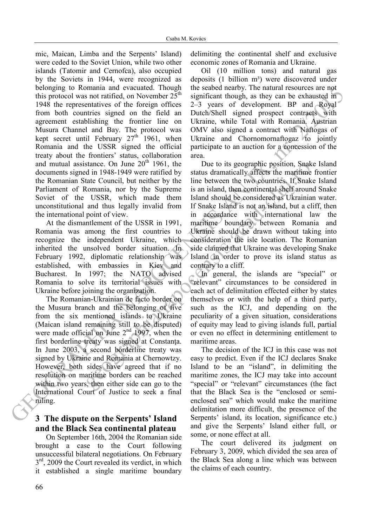detailing to Contain and eventually a mail eventual in the main scheme of the fraction of the main scheme of the form of the contain and  $R_{\text{th}}$  is the contain and the representative of the fraction of the fraction of t mic, Maican, Limba and the Serpents' Island) were ceded to the Soviet Union, while two other islands (Tatomir and Cernofca), also occupied by the Soviets in 1944, were recognized as belonging to Romania and evacuated. Though this protocol was not ratified, on November  $25<sup>th</sup>$ 1948 the representatives of the foreign offices from both countries signed on the field an agreement establishing the frontier line on Musura Channel and Bay. The protocol was kept secret until February  $27<sup>th</sup>$  1961, when Romania and the USSR signed the official treaty about the frontiers' status, collaboration and mutual assistance. On June  $20<sup>th</sup>$  1961, the documents signed in 1948-1949 were ratified by the Romanian State Council, but neither by the Parliament of Romania, nor by the Supreme Soviet of the USSR, which made them unconstitutional and thus legally invalid from the international point of view.

At the dismantlement of the USSR in 1991, Romania was among the first countries to recognize the independent Ukraine, which inherited the unsolved border situation. In February 1992, diplomatic relationship was established, with embassies in Kiev and Bucharest. In 1997; the NATO advised Romania to solve its territorial issues with Ukraine before joining the organization.

The Romanian-Ukrainian de facto border on the Musura branch and the belonging of five from the six mentioned islands to Ukraine (Maican island remaining still to be disputed) were made official on June 2<sup>nd</sup> 1997, when the first borderline treaty was signed at Constanţa. In June 2003, a second borderline treaty was signed by Ukraine and Romania at Chernowtzy. However, both sides have agreed that if no resolution on maritime borders can be reached within two years, then either side can go to the International Court of Justice to seek a final ruling.

# **3 The dispute on the Serpents' Island and the Black Sea continental plateau**

On September 16th, 2004 the Romanian side brought a case to the Court following unsuccessful bilateral negotiations. On February  $3<sup>rd</sup>$ , 2009 the Court revealed its verdict, in which it established a single maritime boundary

delimiting the continental shelf and exclusive economic zones of Romania and Ukraine.

Oil (10 million tons) and natural gas deposits  $(1 \text{ billion } m^3)$  were discovered under the seabed nearby. The natural resources are not significant though, as they can be exhausted in 2–3 years of development. BP and Royal Dutch/Shell signed prospect contracts with Ukraine, while Total with Romania. Austrian OMV also signed a contract with Naftogas of Ukraine and Chornomornaftogaz to jointly participate to an auction for a concession of the area.

stance. On June 20<sup>-1</sup> 1961, the 11 the tot is geographic position, shakes<br>dia 1948-1949 were ratified by status dramatically affects the marifime<br>tate Council, but neither by the line between the two countries. If Snake<br> Due to its geographic position, Snake Island status dramatically affects the maritime frontier line between the two countries. If Snake Island is an island, then continental shelf around Snake Island should be considered as Ukrainian water. If Snake Island is not an island, but a cliff, then in accordance with international law the maritime boundary between Romania and Ukraine should be drawn without taking into consideration the isle location. The Romanian side claimed that Ukraine was developing Snake Island in order to prove its island status as contrary to a cliff.

In general, the islands are "special" or "relevant" circumstances to be considered in each act of delimitation effected either by states themselves or with the help of a third party, such as the ICJ, and depending on the peculiarity of a given situation, considerations of equity may lead to giving islands full, partial or even no effect in determining entitlement to maritime areas.

The decision of the ICJ in this case was not easy to predict. Even if the ICJ declares Snake Island to be an "island", in delimiting the maritime zones, the ICJ may take into account "special" or "relevant" circumstances (the fact that the Black Sea is the "enclosed or semienclosed sea" which would make the maritime delimitation more difficult, the presence of the Serpents' island, its location, significance etc.) and give the Serpents' Island either full, or some, or none effect at all.

The court delivered its judgment on February 3, 2009, which divided the sea area of the Black Sea along a line which was between the claims of each country.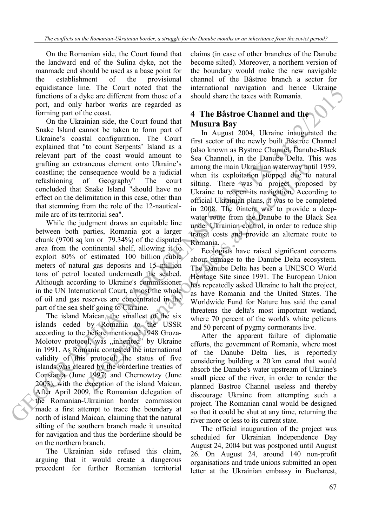On the Romanian side, the Court found that the landward end of the Sulina dyke, not the manmade end should be used as a base point for the establishment of the provisional equidistance line. The Court noted that the functions of a dyke are different from those of a port, and only harbor works are regarded as forming part of the coast.

On the Ukrainian side, the Court found that Snake Island cannot be taken to form part of Ukraine's coastal configuration. The Court explained that "to count Serpents' Island as a relevant part of the coast would amount to grafting an extraneous element onto Ukraine's coastline; the consequence would be a judicial refashioning of Geography" The court concluded that Snake Island "should have no effect on the delimitation in this case, other than that stemming from the role of the 12-nauticalmile arc of its territorial sea".

While the judgment draws an equitable line between both parties, Romania got a larger chunk (9700 sq km or 79.34%) of the disputed area from the continental shelf, allowing it to exploit 80% of estimated 100 billion cubic meters of natural gas deposits and 15 million tons of petrol located underneath the seabed. Although according to Ukraine's commissioner in the UN International Court, almost the whole of oil and gas reserves are concentrated in the part of the sea shelf going to Ukraine.

The island Maican, the smallest of the six islands ceded by Romania to the USSR according to the before mentioned 1948 Groza-Molotov protocol, was "inherited" by Ukraine in 1991. As Romania contested the international validity of this protocol, the status of five islands was cleared by the borderline treaties of Constanţa (June 1997) and Chernowtzy (June 2003), with the exception of the island Maican. After April 2009, the Romanian delegation of the Romanian-Ukrainian border commission made a first attempt to trace the boundary at north of island Maican, claiming that the natural silting of the southern branch made it unsuited for navigation and thus the borderline should be on the northern branch.

The Ukrainian side refused this claim, arguing that it would create a dangerous precedent for further Romanian territorial

claims (in case of other branches of the Danube become silted). Moreover, a northern version of the boundary would make the new navigable channel of the Bâstroe branch a sector for international navigation and hence Ukraine should share the taxes with Romania.

# **4 The Bâstroe Channel and the Musura Bay**

equations of the U control does that incorrelates the control of the method of the control of the control of the control of the state of the control of the state of the control of the state of the control of the control o amonus element onto Ukraine<br>
among the main Ukrainian waterway untitings mesquence would be a judicial when its exploitation is<br>
of Geography" The court sitting. There was a project, proposite lisland "should have no Ukrai In August 2004, Ukraine inaugurated the first sector of the newly built Bâstroe Channel (also known as Bystroe Channel, Danube-Black Sea Channel), in the Danube Delta. This was among the main Ukrainian waterway until 1959, when its exploitation stopped due to natural silting. There was a project proposed by Ukraine to reopen its navigation. According to official Ukrainian plans, it was to be completed in 2008. The 0intent was to provide a deepwater route from the Danube to the Black Sea under Ukrainian control, in order to reduce ship transit costs and provide an alternate route to Romania.

Ecologists have raised significant concerns about damage to the Danube Delta ecosystem. The Danube Delta has been a UNESCO World Heritage Site since 1991. The European Union has repeatedly asked Ukraine to halt the project, as have Romania and the United States. The Worldwide Fund for Nature has said the canal threatens the delta's most important wetland, where 70 percent of the world's white pelicans and 50 percent of pygmy cormorants live.

After the apparent failure of diplomatic efforts, the government of Romania, where most of the Danube Delta lies, is reportedly considering building a 20 km canal that would absorb the Danube's water upstream of Ukraine's small piece of the river, in order to render the planned Bastroe Channel useless and thereby discourage Ukraine from attempting such a project. The Romanian canal would be designed so that it could be shut at any time, returning the river more or less to its current state.

The official inauguration of the project was scheduled for Ukrainian Independence Day August 24, 2004 but was postponed until August 26. On August 24, around 140 non-profit organisations and trade unions submitted an open letter at the Ukrainian embassy in Bucharest,